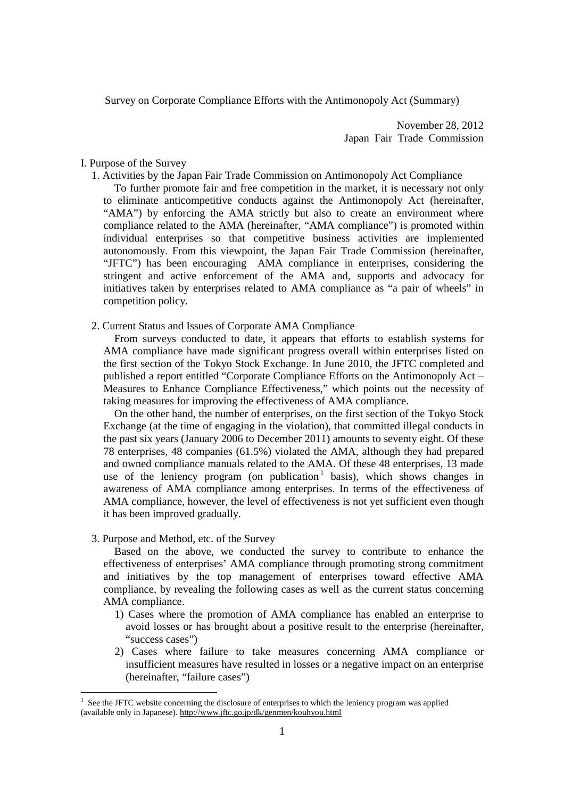Survey on Corporate Compliance Efforts with the Antimonopoly Act (Summary)

November 28, 2012 Japan Fair Trade Commission

## I. Purpose of the Survey

1. Activities by the Japan Fair Trade Commission on Antimonopoly Act Compliance

To further promote fair and free competition in the market, it is necessary not only to eliminate anticompetitive conducts against the Antimonopoly Act (hereinafter, "AMA") by enforcing the AMA strictly but also to create an environment where compliance related to the AMA (hereinafter, "AMA compliance") is promoted within individual enterprises so that competitive business activities are implemented autonomously. From this viewpoint, the Japan Fair Trade Commission (hereinafter, "JFTC") has been encouraging AMA compliance in enterprises, considering the stringent and active enforcement of the AMA and, supports and advocacy for initiatives taken by enterprises related to AMA compliance as "a pair of wheels" in competition policy.

2. Current Status and Issues of Corporate AMA Compliance

From surveys conducted to date, it appears that efforts to establish systems for AMA compliance have made significant progress overall within enterprises listed on the first section of the Tokyo Stock Exchange. In June 2010, the JFTC completed and published a report entitled "Corporate Compliance Efforts on the Antimonopoly Act – Measures to Enhance Compliance Effectiveness," which points out the necessity of taking measures for improving the effectiveness of AMA compliance.

On the other hand, the number of enterprises, on the first section of the Tokyo Stock Exchange (at the time of engaging in the violation), that committed illegal conducts in the past six years (January 2006 to December 2011) amounts to seventy eight. Of these 78 enterprises, 48 companies (61.5%) violated the AMA, although they had prepared and owned compliance manuals related to the AMA. Of these 48 enterprises, 13 made use of the leniency program (on publication  $1$  basis), which shows changes in awareness of AMA compliance among enterprises. In terms of the effectiveness of AMA compliance, however, the level of effectiveness is not yet sufficient even though it has been improved gradually.

3. Purpose and Method, etc. of the Survey

 $\overline{a}$ 

Based on the above, we conducted the survey to contribute to enhance the effectiveness of enterprises' AMA compliance through promoting strong commitment and initiatives by the top management of enterprises toward effective AMA compliance, by revealing the following cases as well as the current status concerning AMA compliance.

- 1) Cases where the promotion of AMA compliance has enabled an enterprise to avoid losses or has brought about a positive result to the enterprise (hereinafter, "success cases")
- 2) Cases where failure to take measures concerning AMA compliance or insufficient measures have resulted in losses or a negative impact on an enterprise (hereinafter, "failure cases")

<sup>1</sup> See the JFTC website concerning the disclosure of enterprises to which the leniency program was applied (available only in Japanese). http://www.jftc.go.jp/dk/genmen/kouhyou.html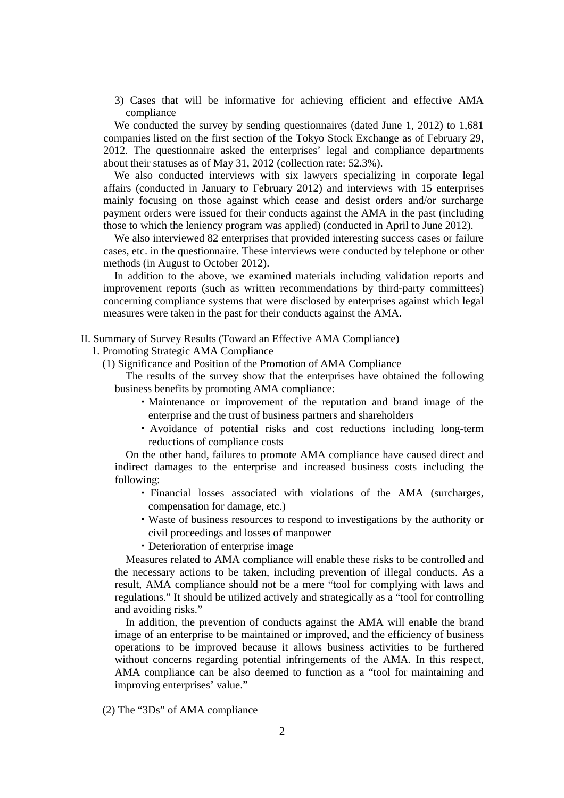3) Cases that will be informative for achieving efficient and effective AMA compliance

We conducted the survey by sending questionnaires (dated June 1, 2012) to 1,681 companies listed on the first section of the Tokyo Stock Exchange as of February 29, 2012. The questionnaire asked the enterprises' legal and compliance departments about their statuses as of May 31, 2012 (collection rate: 52.3%).

We also conducted interviews with six lawyers specializing in corporate legal affairs (conducted in January to February 2012) and interviews with 15 enterprises mainly focusing on those against which cease and desist orders and/or surcharge payment orders were issued for their conducts against the AMA in the past (including those to which the leniency program was applied) (conducted in April to June 2012).

We also interviewed 82 enterprises that provided interesting success cases or failure cases, etc. in the questionnaire. These interviews were conducted by telephone or other methods (in August to October 2012).

In addition to the above, we examined materials including validation reports and improvement reports (such as written recommendations by third-party committees) concerning compliance systems that were disclosed by enterprises against which legal measures were taken in the past for their conducts against the AMA.

## II. Summary of Survey Results (Toward an Effective AMA Compliance)

1. Promoting Strategic AMA Compliance

(1) Significance and Position of the Promotion of AMA Compliance

The results of the survey show that the enterprises have obtained the following business benefits by promoting AMA compliance:

- ・Maintenance or improvement of the reputation and brand image of the enterprise and the trust of business partners and shareholders
- ・Avoidance of potential risks and cost reductions including long-term reductions of compliance costs

On the other hand, failures to promote AMA compliance have caused direct and indirect damages to the enterprise and increased business costs including the following:

- ・ Financial losses associated with violations of the AMA (surcharges, compensation for damage, etc.)
- ・Waste of business resources to respond to investigations by the authority or civil proceedings and losses of manpower
- ・Deterioration of enterprise image

Measures related to AMA compliance will enable these risks to be controlled and the necessary actions to be taken, including prevention of illegal conducts. As a result, AMA compliance should not be a mere "tool for complying with laws and regulations." It should be utilized actively and strategically as a "tool for controlling and avoiding risks."

In addition, the prevention of conducts against the AMA will enable the brand image of an enterprise to be maintained or improved, and the efficiency of business operations to be improved because it allows business activities to be furthered without concerns regarding potential infringements of the AMA. In this respect, AMA compliance can be also deemed to function as a "tool for maintaining and improving enterprises' value."

(2) The "3Ds" of AMA compliance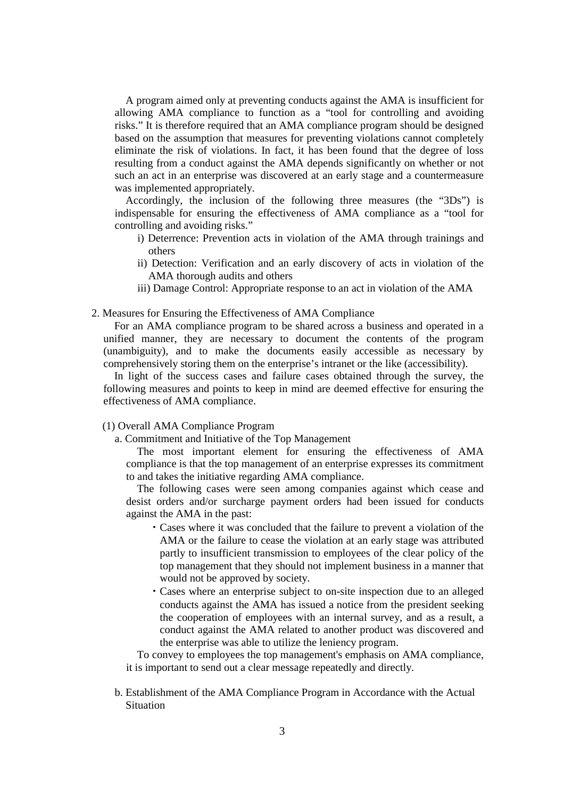A program aimed only at preventing conducts against the AMA is insufficient for allowing AMA compliance to function as a "tool for controlling and avoiding risks." It is therefore required that an AMA compliance program should be designed based on the assumption that measures for preventing violations cannot completely eliminate the risk of violations. In fact, it has been found that the degree of loss resulting from a conduct against the AMA depends significantly on whether or not such an act in an enterprise was discovered at an early stage and a countermeasure was implemented appropriately.

Accordingly, the inclusion of the following three measures (the "3Ds") is indispensable for ensuring the effectiveness of AMA compliance as a "tool for controlling and avoiding risks."

- i) Deterrence: Prevention acts in violation of the AMA through trainings and others
- ii) Detection: Verification and an early discovery of acts in violation of the AMA thorough audits and others
- iii) Damage Control: Appropriate response to an act in violation of the AMA

#### 2. Measures for Ensuring the Effectiveness of AMA Compliance

For an AMA compliance program to be shared across a business and operated in a unified manner, they are necessary to document the contents of the program (unambiguity), and to make the documents easily accessible as necessary by comprehensively storing them on the enterprise's intranet or the like (accessibility).

In light of the success cases and failure cases obtained through the survey, the following measures and points to keep in mind are deemed effective for ensuring the effectiveness of AMA compliance.

# (1) Overall AMA Compliance Program

a. Commitment and Initiative of the Top Management

The most important element for ensuring the effectiveness of AMA compliance is that the top management of an enterprise expresses its commitment to and takes the initiative regarding AMA compliance.

The following cases were seen among companies against which cease and desist orders and/or surcharge payment orders had been issued for conducts against the AMA in the past:

- ・Cases where it was concluded that the failure to prevent a violation of the AMA or the failure to cease the violation at an early stage was attributed partly to insufficient transmission to employees of the clear policy of the top management that they should not implement business in a manner that would not be approved by society.
- ・Cases where an enterprise subject to on-site inspection due to an alleged conducts against the AMA has issued a notice from the president seeking the cooperation of employees with an internal survey, and as a result, a conduct against the AMA related to another product was discovered and the enterprise was able to utilize the leniency program.

To convey to employees the top management's emphasis on AMA compliance, it is important to send out a clear message repeatedly and directly.

b. Establishment of the AMA Compliance Program in Accordance with the Actual **Situation**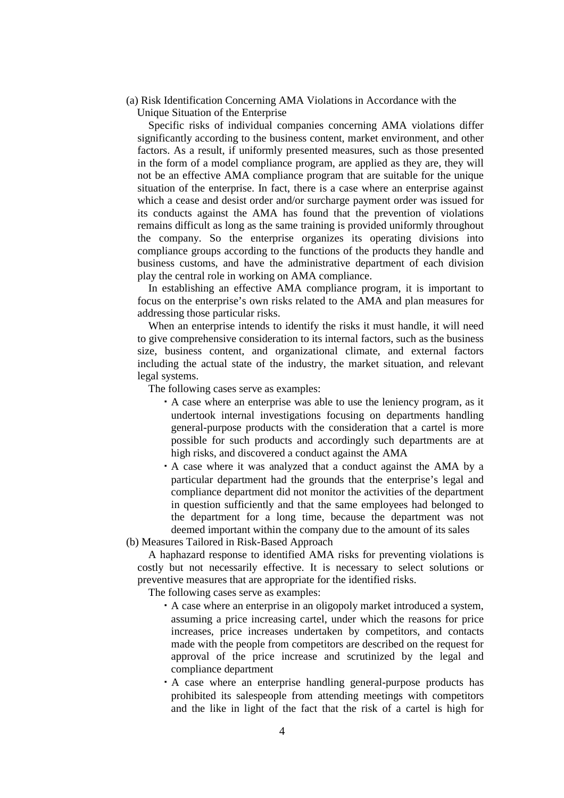(a) Risk Identification Concerning AMA Violations in Accordance with the Unique Situation of the Enterprise

Specific risks of individual companies concerning AMA violations differ significantly according to the business content, market environment, and other factors. As a result, if uniformly presented measures, such as those presented in the form of a model compliance program, are applied as they are, they will not be an effective AMA compliance program that are suitable for the unique situation of the enterprise. In fact, there is a case where an enterprise against which a cease and desist order and/or surcharge payment order was issued for its conducts against the AMA has found that the prevention of violations remains difficult as long as the same training is provided uniformly throughout the company. So the enterprise organizes its operating divisions into compliance groups according to the functions of the products they handle and business customs, and have the administrative department of each division play the central role in working on AMA compliance.

In establishing an effective AMA compliance program, it is important to focus on the enterprise's own risks related to the AMA and plan measures for addressing those particular risks.

When an enterprise intends to identify the risks it must handle, it will need to give comprehensive consideration to its internal factors, such as the business size, business content, and organizational climate, and external factors including the actual state of the industry, the market situation, and relevant legal systems.

The following cases serve as examples:

- ・A case where an enterprise was able to use the leniency program, as it undertook internal investigations focusing on departments handling general-purpose products with the consideration that a cartel is more possible for such products and accordingly such departments are at high risks, and discovered a conduct against the AMA
- ・A case where it was analyzed that a conduct against the AMA by a particular department had the grounds that the enterprise's legal and compliance department did not monitor the activities of the department in question sufficiently and that the same employees had belonged to the department for a long time, because the department was not deemed important within the company due to the amount of its sales

(b) Measures Tailored in Risk-Based Approach

A haphazard response to identified AMA risks for preventing violations is costly but not necessarily effective. It is necessary to select solutions or preventive measures that are appropriate for the identified risks.

The following cases serve as examples:

- ・A case where an enterprise in an oligopoly market introduced a system, assuming a price increasing cartel, under which the reasons for price increases, price increases undertaken by competitors, and contacts made with the people from competitors are described on the request for approval of the price increase and scrutinized by the legal and compliance department
- ・A case where an enterprise handling general-purpose products has prohibited its salespeople from attending meetings with competitors and the like in light of the fact that the risk of a cartel is high for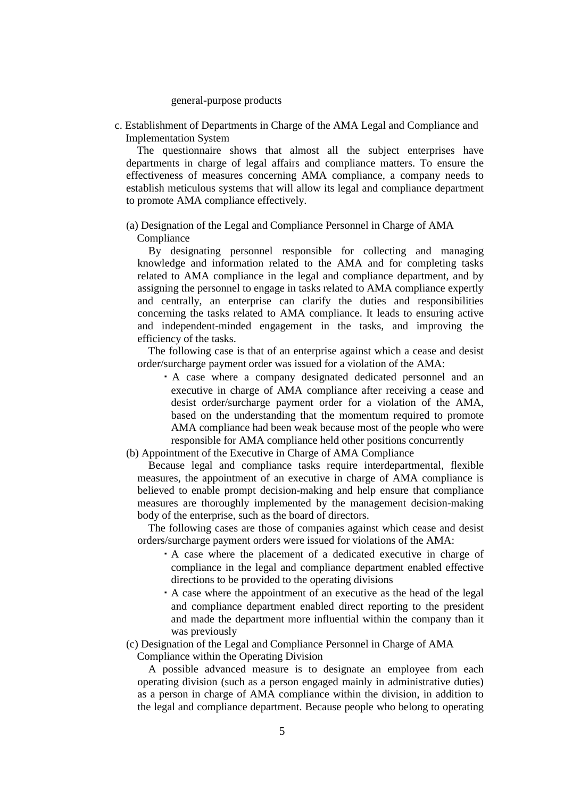#### general-purpose products

c. Establishment of Departments in Charge of the AMA Legal and Compliance and Implementation System

The questionnaire shows that almost all the subject enterprises have departments in charge of legal affairs and compliance matters. To ensure the effectiveness of measures concerning AMA compliance, a company needs to establish meticulous systems that will allow its legal and compliance department to promote AMA compliance effectively.

(a) Designation of the Legal and Compliance Personnel in Charge of AMA Compliance

By designating personnel responsible for collecting and managing knowledge and information related to the AMA and for completing tasks related to AMA compliance in the legal and compliance department, and by assigning the personnel to engage in tasks related to AMA compliance expertly and centrally, an enterprise can clarify the duties and responsibilities concerning the tasks related to AMA compliance. It leads to ensuring active and independent-minded engagement in the tasks, and improving the efficiency of the tasks.

The following case is that of an enterprise against which a cease and desist order/surcharge payment order was issued for a violation of the AMA:

- ・A case where a company designated dedicated personnel and an executive in charge of AMA compliance after receiving a cease and desist order/surcharge payment order for a violation of the AMA, based on the understanding that the momentum required to promote AMA compliance had been weak because most of the people who were responsible for AMA compliance held other positions concurrently
- (b) Appointment of the Executive in Charge of AMA Compliance

Because legal and compliance tasks require interdepartmental, flexible measures, the appointment of an executive in charge of AMA compliance is believed to enable prompt decision-making and help ensure that compliance measures are thoroughly implemented by the management decision-making body of the enterprise, such as the board of directors.

The following cases are those of companies against which cease and desist orders/surcharge payment orders were issued for violations of the AMA:

- ・A case where the placement of a dedicated executive in charge of compliance in the legal and compliance department enabled effective directions to be provided to the operating divisions
- ・A case where the appointment of an executive as the head of the legal and compliance department enabled direct reporting to the president and made the department more influential within the company than it was previously

(c) Designation of the Legal and Compliance Personnel in Charge of AMA

Compliance within the Operating Division

A possible advanced measure is to designate an employee from each operating division (such as a person engaged mainly in administrative duties) as a person in charge of AMA compliance within the division, in addition to the legal and compliance department. Because people who belong to operating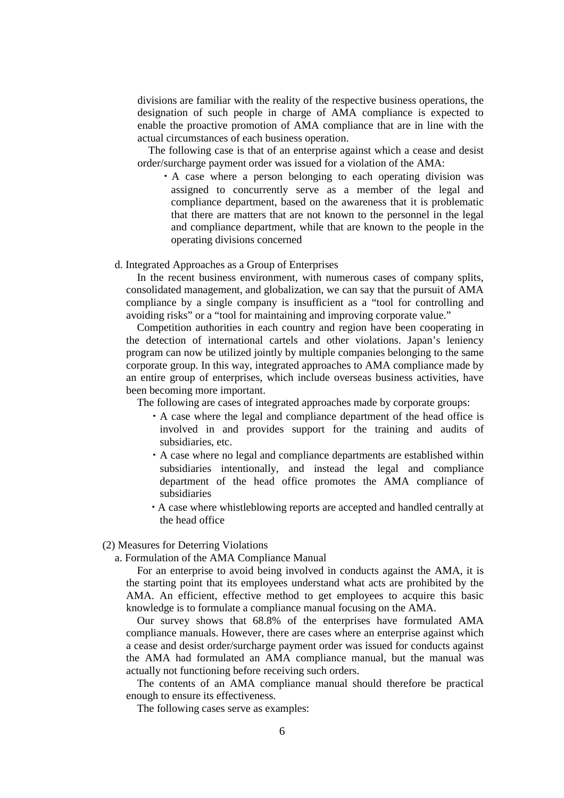divisions are familiar with the reality of the respective business operations, the designation of such people in charge of AMA compliance is expected to enable the proactive promotion of AMA compliance that are in line with the actual circumstances of each business operation.

The following case is that of an enterprise against which a cease and desist order/surcharge payment order was issued for a violation of the AMA:

- ・A case where a person belonging to each operating division was assigned to concurrently serve as a member of the legal and compliance department, based on the awareness that it is problematic that there are matters that are not known to the personnel in the legal and compliance department, while that are known to the people in the operating divisions concerned
- d. Integrated Approaches as a Group of Enterprises

In the recent business environment, with numerous cases of company splits, consolidated management, and globalization, we can say that the pursuit of AMA compliance by a single company is insufficient as a "tool for controlling and avoiding risks" or a "tool for maintaining and improving corporate value."

Competition authorities in each country and region have been cooperating in the detection of international cartels and other violations. Japan's leniency program can now be utilized jointly by multiple companies belonging to the same corporate group. In this way, integrated approaches to AMA compliance made by an entire group of enterprises, which include overseas business activities, have been becoming more important.

The following are cases of integrated approaches made by corporate groups:

- ・A case where the legal and compliance department of the head office is involved in and provides support for the training and audits of subsidiaries, etc.
- ・A case where no legal and compliance departments are established within subsidiaries intentionally, and instead the legal and compliance department of the head office promotes the AMA compliance of subsidiaries
- ・A case where whistleblowing reports are accepted and handled centrally at the head office

(2) Measures for Deterring Violations

a. Formulation of the AMA Compliance Manual

For an enterprise to avoid being involved in conducts against the AMA, it is the starting point that its employees understand what acts are prohibited by the AMA. An efficient, effective method to get employees to acquire this basic knowledge is to formulate a compliance manual focusing on the AMA.

Our survey shows that 68.8% of the enterprises have formulated AMA compliance manuals. However, there are cases where an enterprise against which a cease and desist order/surcharge payment order was issued for conducts against the AMA had formulated an AMA compliance manual, but the manual was actually not functioning before receiving such orders.

The contents of an AMA compliance manual should therefore be practical enough to ensure its effectiveness.

The following cases serve as examples: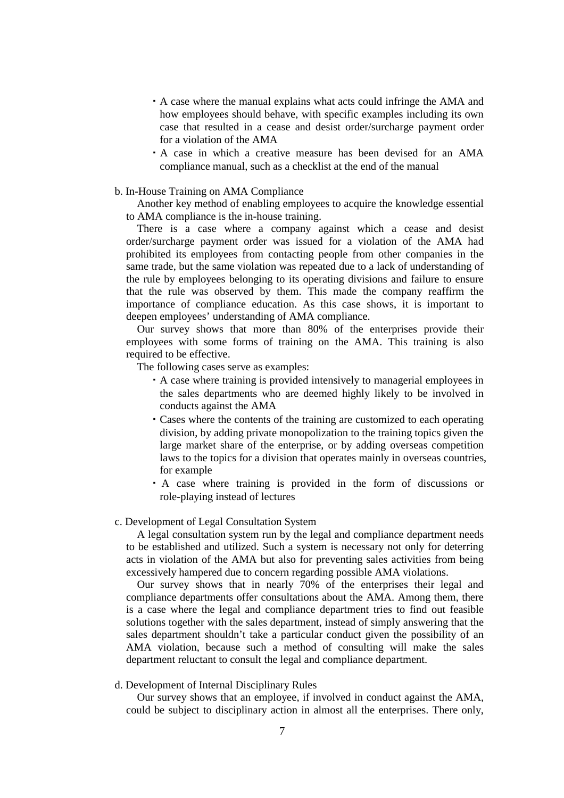- ・A case where the manual explains what acts could infringe the AMA and how employees should behave, with specific examples including its own case that resulted in a cease and desist order/surcharge payment order for a violation of the AMA
- ・A case in which a creative measure has been devised for an AMA compliance manual, such as a checklist at the end of the manual
- b. In-House Training on AMA Compliance

Another key method of enabling employees to acquire the knowledge essential to AMA compliance is the in-house training.

There is a case where a company against which a cease and desist order/surcharge payment order was issued for a violation of the AMA had prohibited its employees from contacting people from other companies in the same trade, but the same violation was repeated due to a lack of understanding of the rule by employees belonging to its operating divisions and failure to ensure that the rule was observed by them. This made the company reaffirm the importance of compliance education. As this case shows, it is important to deepen employees' understanding of AMA compliance.

Our survey shows that more than 80% of the enterprises provide their employees with some forms of training on the AMA. This training is also required to be effective.

The following cases serve as examples:

- ・A case where training is provided intensively to managerial employees in the sales departments who are deemed highly likely to be involved in conducts against the AMA
- ・Cases where the contents of the training are customized to each operating division, by adding private monopolization to the training topics given the large market share of the enterprise, or by adding overseas competition laws to the topics for a division that operates mainly in overseas countries, for example
- ・A case where training is provided in the form of discussions or role-playing instead of lectures

## c. Development of Legal Consultation System

A legal consultation system run by the legal and compliance department needs to be established and utilized. Such a system is necessary not only for deterring acts in violation of the AMA but also for preventing sales activities from being excessively hampered due to concern regarding possible AMA violations.

Our survey shows that in nearly 70% of the enterprises their legal and compliance departments offer consultations about the AMA. Among them, there is a case where the legal and compliance department tries to find out feasible solutions together with the sales department, instead of simply answering that the sales department shouldn't take a particular conduct given the possibility of an AMA violation, because such a method of consulting will make the sales department reluctant to consult the legal and compliance department.

## d. Development of Internal Disciplinary Rules

Our survey shows that an employee, if involved in conduct against the AMA, could be subject to disciplinary action in almost all the enterprises. There only,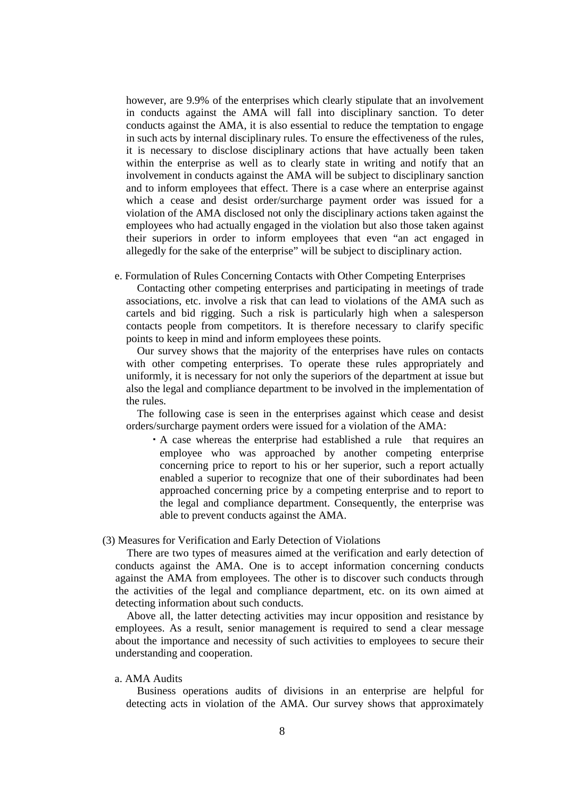however, are 9.9% of the enterprises which clearly stipulate that an involvement in conducts against the AMA will fall into disciplinary sanction. To deter conducts against the AMA, it is also essential to reduce the temptation to engage in such acts by internal disciplinary rules. To ensure the effectiveness of the rules, it is necessary to disclose disciplinary actions that have actually been taken within the enterprise as well as to clearly state in writing and notify that an involvement in conducts against the AMA will be subject to disciplinary sanction and to inform employees that effect. There is a case where an enterprise against which a cease and desist order/surcharge payment order was issued for a violation of the AMA disclosed not only the disciplinary actions taken against the employees who had actually engaged in the violation but also those taken against their superiors in order to inform employees that even "an act engaged in allegedly for the sake of the enterprise" will be subject to disciplinary action.

## e. Formulation of Rules Concerning Contacts with Other Competing Enterprises

Contacting other competing enterprises and participating in meetings of trade associations, etc. involve a risk that can lead to violations of the AMA such as cartels and bid rigging. Such a risk is particularly high when a salesperson contacts people from competitors. It is therefore necessary to clarify specific points to keep in mind and inform employees these points.

Our survey shows that the majority of the enterprises have rules on contacts with other competing enterprises. To operate these rules appropriately and uniformly, it is necessary for not only the superiors of the department at issue but also the legal and compliance department to be involved in the implementation of the rules.

The following case is seen in the enterprises against which cease and desist orders/surcharge payment orders were issued for a violation of the AMA:

・A case whereas the enterprise had established a rule that requires an employee who was approached by another competing enterprise concerning price to report to his or her superior, such a report actually enabled a superior to recognize that one of their subordinates had been approached concerning price by a competing enterprise and to report to the legal and compliance department. Consequently, the enterprise was able to prevent conducts against the AMA.

# (3) Measures for Verification and Early Detection of Violations

There are two types of measures aimed at the verification and early detection of conducts against the AMA. One is to accept information concerning conducts against the AMA from employees. The other is to discover such conducts through the activities of the legal and compliance department, etc. on its own aimed at detecting information about such conducts.

Above all, the latter detecting activities may incur opposition and resistance by employees. As a result, senior management is required to send a clear message about the importance and necessity of such activities to employees to secure their understanding and cooperation.

## a. AMA Audits

Business operations audits of divisions in an enterprise are helpful for detecting acts in violation of the AMA. Our survey shows that approximately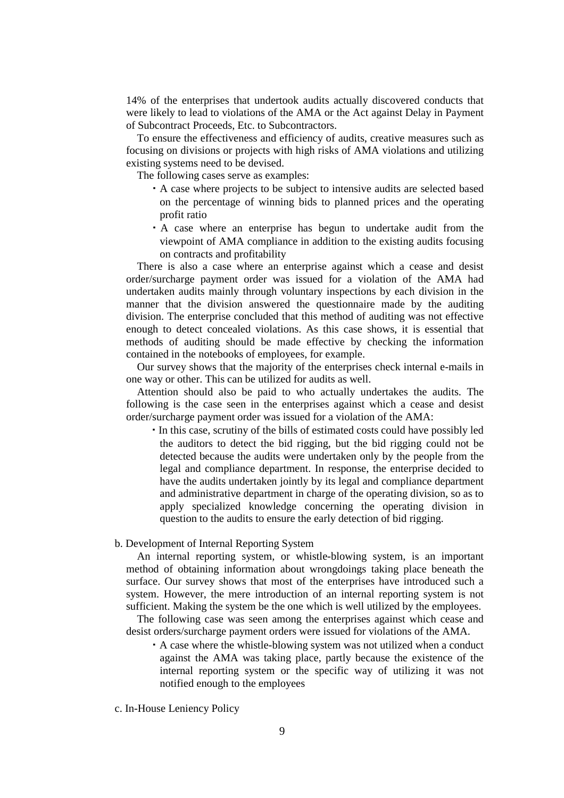14% of the enterprises that undertook audits actually discovered conducts that were likely to lead to violations of the AMA or the Act against Delay in Payment of Subcontract Proceeds, Etc. to Subcontractors.

To ensure the effectiveness and efficiency of audits, creative measures such as focusing on divisions or projects with high risks of AMA violations and utilizing existing systems need to be devised.

The following cases serve as examples:

- ・A case where projects to be subject to intensive audits are selected based on the percentage of winning bids to planned prices and the operating profit ratio
- ・A case where an enterprise has begun to undertake audit from the viewpoint of AMA compliance in addition to the existing audits focusing on contracts and profitability

There is also a case where an enterprise against which a cease and desist order/surcharge payment order was issued for a violation of the AMA had undertaken audits mainly through voluntary inspections by each division in the manner that the division answered the questionnaire made by the auditing division. The enterprise concluded that this method of auditing was not effective enough to detect concealed violations. As this case shows, it is essential that methods of auditing should be made effective by checking the information contained in the notebooks of employees, for example.

Our survey shows that the majority of the enterprises check internal e-mails in one way or other. This can be utilized for audits as well.

Attention should also be paid to who actually undertakes the audits. The following is the case seen in the enterprises against which a cease and desist order/surcharge payment order was issued for a violation of the AMA:

・In this case, scrutiny of the bills of estimated costs could have possibly led the auditors to detect the bid rigging, but the bid rigging could not be detected because the audits were undertaken only by the people from the legal and compliance department. In response, the enterprise decided to have the audits undertaken jointly by its legal and compliance department and administrative department in charge of the operating division, so as to apply specialized knowledge concerning the operating division in question to the audits to ensure the early detection of bid rigging.

## b. Development of Internal Reporting System

An internal reporting system, or whistle-blowing system, is an important method of obtaining information about wrongdoings taking place beneath the surface. Our survey shows that most of the enterprises have introduced such a system. However, the mere introduction of an internal reporting system is not sufficient. Making the system be the one which is well utilized by the employees.

The following case was seen among the enterprises against which cease and desist orders/surcharge payment orders were issued for violations of the AMA.

・A case where the whistle-blowing system was not utilized when a conduct against the AMA was taking place, partly because the existence of the internal reporting system or the specific way of utilizing it was not notified enough to the employees

c. In-House Leniency Policy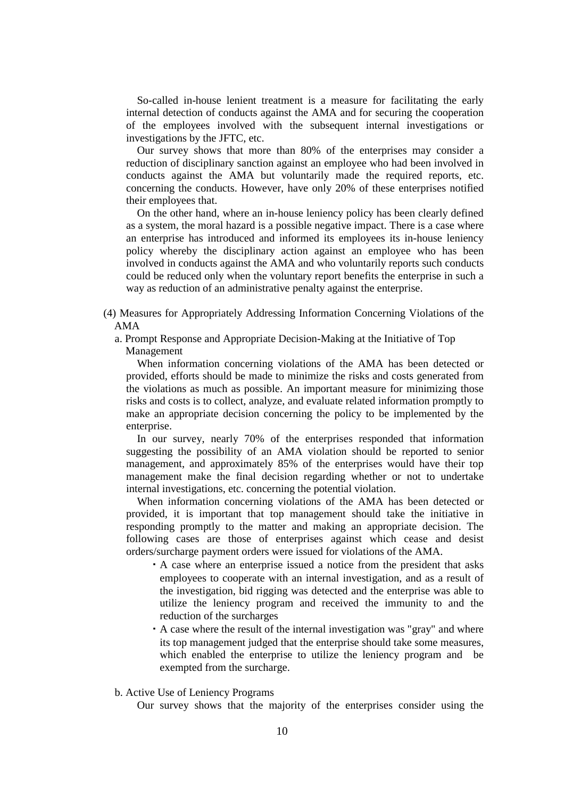So-called in-house lenient treatment is a measure for facilitating the early internal detection of conducts against the AMA and for securing the cooperation of the employees involved with the subsequent internal investigations or investigations by the JFTC, etc.

Our survey shows that more than 80% of the enterprises may consider a reduction of disciplinary sanction against an employee who had been involved in conducts against the AMA but voluntarily made the required reports, etc. concerning the conducts. However, have only 20% of these enterprises notified their employees that.

On the other hand, where an in-house leniency policy has been clearly defined as a system, the moral hazard is a possible negative impact. There is a case where an enterprise has introduced and informed its employees its in-house leniency policy whereby the disciplinary action against an employee who has been involved in conducts against the AMA and who voluntarily reports such conducts could be reduced only when the voluntary report benefits the enterprise in such a way as reduction of an administrative penalty against the enterprise.

- (4) Measures for Appropriately Addressing Information Concerning Violations of the AMA
	- a. Prompt Response and Appropriate Decision-Making at the Initiative of Top

Management

When information concerning violations of the AMA has been detected or provided, efforts should be made to minimize the risks and costs generated from the violations as much as possible. An important measure for minimizing those risks and costs is to collect, analyze, and evaluate related information promptly to make an appropriate decision concerning the policy to be implemented by the enterprise.

In our survey, nearly 70% of the enterprises responded that information suggesting the possibility of an AMA violation should be reported to senior management, and approximately 85% of the enterprises would have their top management make the final decision regarding whether or not to undertake internal investigations, etc. concerning the potential violation.

When information concerning violations of the AMA has been detected or provided, it is important that top management should take the initiative in responding promptly to the matter and making an appropriate decision. The following cases are those of enterprises against which cease and desist orders/surcharge payment orders were issued for violations of the AMA.

- ・A case where an enterprise issued a notice from the president that asks employees to cooperate with an internal investigation, and as a result of the investigation, bid rigging was detected and the enterprise was able to utilize the leniency program and received the immunity to and the reduction of the surcharges
- ・A case where the result of the internal investigation was "gray" and where its top management judged that the enterprise should take some measures, which enabled the enterprise to utilize the leniency program and be exempted from the surcharge.

## b. Active Use of Leniency Programs

Our survey shows that the majority of the enterprises consider using the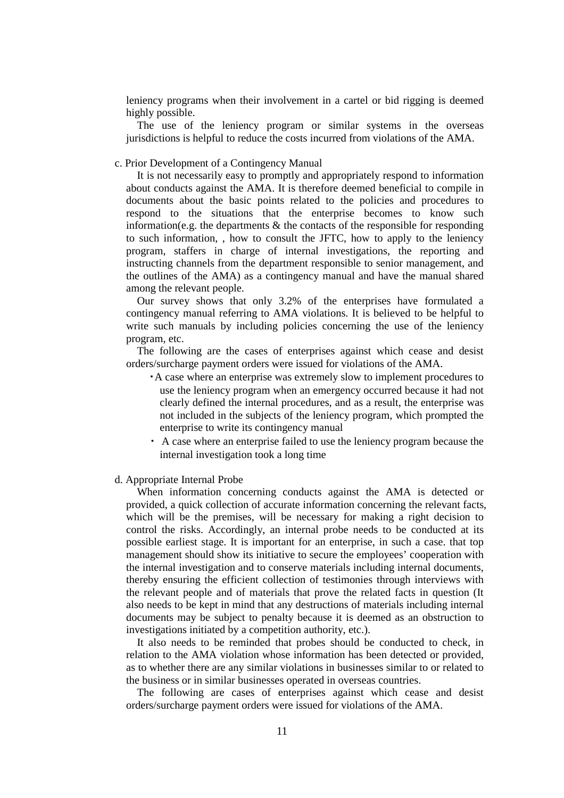leniency programs when their involvement in a cartel or bid rigging is deemed highly possible.

The use of the leniency program or similar systems in the overseas jurisdictions is helpful to reduce the costs incurred from violations of the AMA.

## c. Prior Development of a Contingency Manual

It is not necessarily easy to promptly and appropriately respond to information about conducts against the AMA. It is therefore deemed beneficial to compile in documents about the basic points related to the policies and procedures to respond to the situations that the enterprise becomes to know such information(e.g. the departments  $\&$  the contacts of the responsible for responding to such information, , how to consult the JFTC, how to apply to the leniency program, staffers in charge of internal investigations, the reporting and instructing channels from the department responsible to senior management, and the outlines of the AMA) as a contingency manual and have the manual shared among the relevant people.

Our survey shows that only 3.2% of the enterprises have formulated a contingency manual referring to AMA violations. It is believed to be helpful to write such manuals by including policies concerning the use of the leniency program, etc.

The following are the cases of enterprises against which cease and desist orders/surcharge payment orders were issued for violations of the AMA.

- ・A case where an enterprise was extremely slow to implement procedures to use the leniency program when an emergency occurred because it had not clearly defined the internal procedures, and as a result, the enterprise was not included in the subjects of the leniency program, which prompted the enterprise to write its contingency manual
- ・ A case where an enterprise failed to use the leniency program because the internal investigation took a long time

## d. Appropriate Internal Probe

When information concerning conducts against the AMA is detected or provided, a quick collection of accurate information concerning the relevant facts, which will be the premises, will be necessary for making a right decision to control the risks. Accordingly, an internal probe needs to be conducted at its possible earliest stage. It is important for an enterprise, in such a case. that top management should show its initiative to secure the employees' cooperation with the internal investigation and to conserve materials including internal documents, thereby ensuring the efficient collection of testimonies through interviews with the relevant people and of materials that prove the related facts in question (It also needs to be kept in mind that any destructions of materials including internal documents may be subject to penalty because it is deemed as an obstruction to investigations initiated by a competition authority, etc.).

It also needs to be reminded that probes should be conducted to check, in relation to the AMA violation whose information has been detected or provided, as to whether there are any similar violations in businesses similar to or related to the business or in similar businesses operated in overseas countries.

The following are cases of enterprises against which cease and desist orders/surcharge payment orders were issued for violations of the AMA.